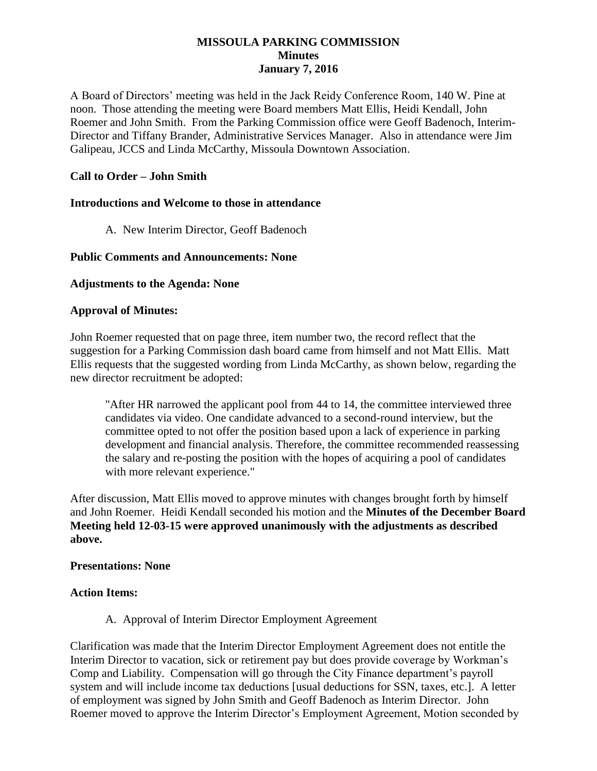## **MISSOULA PARKING COMMISSION Minutes January 7, 2016**

A Board of Directors' meeting was held in the Jack Reidy Conference Room, 140 W. Pine at noon. Those attending the meeting were Board members Matt Ellis, Heidi Kendall, John Roemer and John Smith. From the Parking Commission office were Geoff Badenoch, Interim-Director and Tiffany Brander, Administrative Services Manager. Also in attendance were Jim Galipeau, JCCS and Linda McCarthy, Missoula Downtown Association.

# **Call to Order – John Smith**

#### **Introductions and Welcome to those in attendance**

A. New Interim Director, Geoff Badenoch

## **Public Comments and Announcements: None**

## **Adjustments to the Agenda: None**

#### **Approval of Minutes:**

John Roemer requested that on page three, item number two, the record reflect that the suggestion for a Parking Commission dash board came from himself and not Matt Ellis. Matt Ellis requests that the suggested wording from Linda McCarthy, as shown below, regarding the new director recruitment be adopted:

"After HR narrowed the applicant pool from 44 to 14, the committee interviewed three candidates via video. One candidate advanced to a second-round interview, but the committee opted to not offer the position based upon a lack of experience in parking development and financial analysis. Therefore, the committee recommended reassessing the salary and re-posting the position with the hopes of acquiring a pool of candidates with more relevant experience."

After discussion, Matt Ellis moved to approve minutes with changes brought forth by himself and John Roemer. Heidi Kendall seconded his motion and the **Minutes of the December Board Meeting held 12-03-15 were approved unanimously with the adjustments as described above.**

#### **Presentations: None**

#### **Action Items:**

A. Approval of Interim Director Employment Agreement

Clarification was made that the Interim Director Employment Agreement does not entitle the Interim Director to vacation, sick or retirement pay but does provide coverage by Workman's Comp and Liability. Compensation will go through the City Finance department's payroll system and will include income tax deductions [usual deductions for SSN, taxes, etc.]. A letter of employment was signed by John Smith and Geoff Badenoch as Interim Director. John Roemer moved to approve the Interim Director's Employment Agreement, Motion seconded by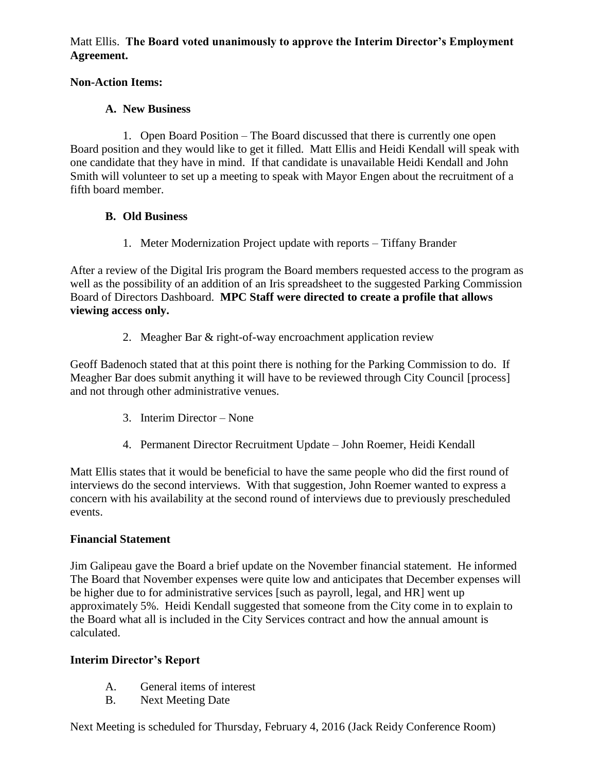Matt Ellis. **The Board voted unanimously to approve the Interim Director's Employment Agreement.**

# **Non-Action Items:**

# **A. New Business**

1. Open Board Position – The Board discussed that there is currently one open Board position and they would like to get it filled. Matt Ellis and Heidi Kendall will speak with one candidate that they have in mind. If that candidate is unavailable Heidi Kendall and John Smith will volunteer to set up a meeting to speak with Mayor Engen about the recruitment of a fifth board member.

# **B. Old Business**

1. Meter Modernization Project update with reports – Tiffany Brander

After a review of the Digital Iris program the Board members requested access to the program as well as the possibility of an addition of an Iris spreadsheet to the suggested Parking Commission Board of Directors Dashboard. **MPC Staff were directed to create a profile that allows viewing access only.**

2. Meagher Bar & right-of-way encroachment application review

Geoff Badenoch stated that at this point there is nothing for the Parking Commission to do. If Meagher Bar does submit anything it will have to be reviewed through City Council [process] and not through other administrative venues.

- 3. Interim Director None
- 4. Permanent Director Recruitment Update John Roemer, Heidi Kendall

Matt Ellis states that it would be beneficial to have the same people who did the first round of interviews do the second interviews. With that suggestion, John Roemer wanted to express a concern with his availability at the second round of interviews due to previously prescheduled events.

# **Financial Statement**

Jim Galipeau gave the Board a brief update on the November financial statement. He informed The Board that November expenses were quite low and anticipates that December expenses will be higher due to for administrative services [such as payroll, legal, and HR] went up approximately 5%. Heidi Kendall suggested that someone from the City come in to explain to the Board what all is included in the City Services contract and how the annual amount is calculated.

# **Interim Director's Report**

- A. General items of interest
- B. Next Meeting Date

Next Meeting is scheduled for Thursday, February 4, 2016 (Jack Reidy Conference Room)